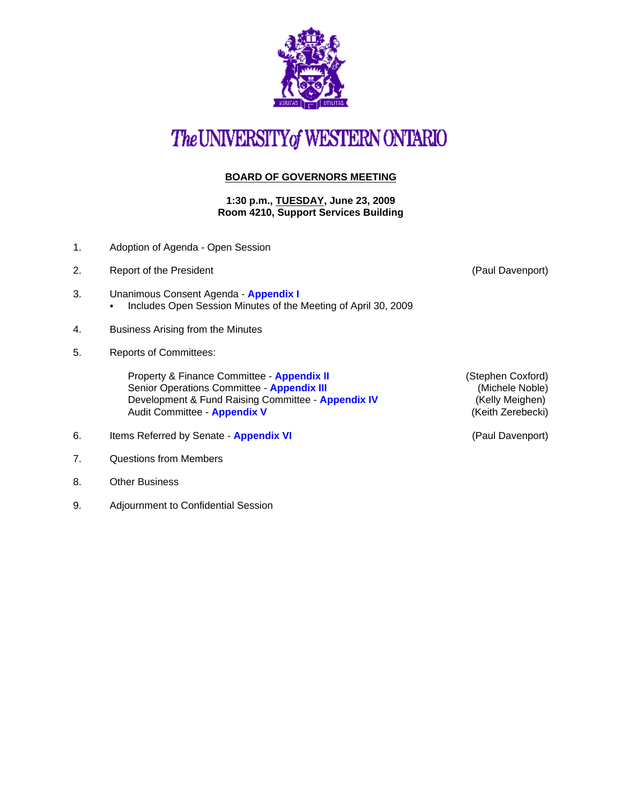

## The UNIVERSITY of WESTERN ONTARIO

## **BOARD OF GOVERNORS MEETING**

**1:30 p.m., TUESDAY, June 23, 2009 Room 4210, Support Services Building**

- 1. Adoption of Agenda Open Session
- 2. [Report of the President](http://www.uwo.ca/univsec/board/minutes/2009/r0906_pd_report.pdf) **Contract Contract Contract Contract Contract Contract Contract Contract Contract Contract Contract Contract Contract Contract Contract Contract Contract Contract Contract Contract Contract Contr**
- 3. Unanimous Consent Agenda **[Appendix I](http://www.uwo.ca/univsec/board/minutes/2009/r0906consent.pdf)**  • Includes Open Session Minutes of the Meeting of April 30, 2009
- 4. Business Arising from the Minutes
- 5. Reports of Committees:

Property & Finance Committee - **[Appendix II](http://www.uwo.ca/univsec/board/minutes/2009/r0906pf.pdf)** (Stephen Coxford) Senior Operations Committee - **[Appendix III](http://www.uwo.ca/univsec/board/minutes/2009/r0906srops.pdf)** (Michele Noble) Development & Fund Raising Committee - **[Appendix IV](http://www.uwo.ca/univsec/board/minutes/2009/r0906dfr.pdf)** (Kelly Meighen) Audit Committee - **[Appendix V](http://www.uwo.ca/univsec/board/minutes/2009/r0906aud.pdf)** (Keith Zerebecki)

- 6. Items Referred by Senate **[Appendix VI](http://www.uwo.ca/univsec/board/minutes/2009/r0906sen.pdf)** (Paul Davenport)
- 7. Questions from Members
- 8. Other Business
- 9. Adjournment to Confidential Session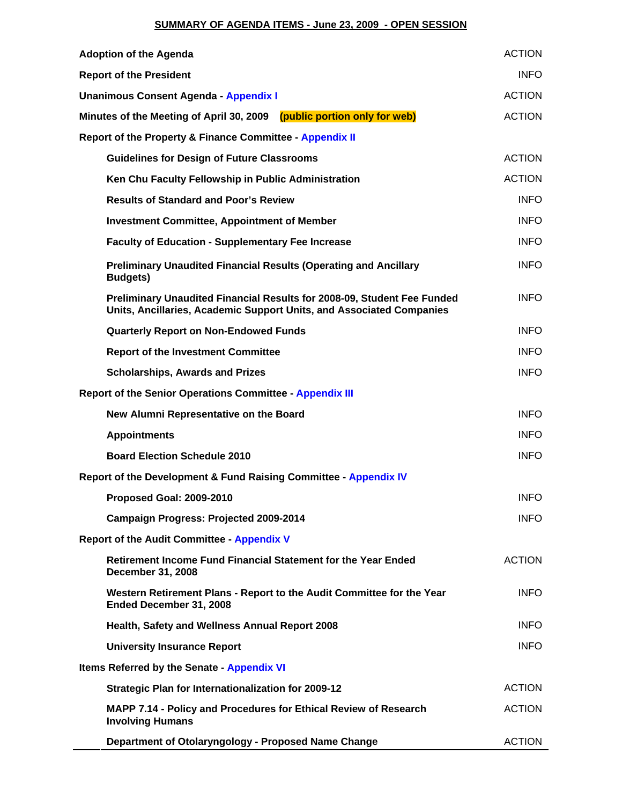## **SUMMARY OF AGENDA ITEMS - June 23, 2009 - OPEN SESSION**

| <b>Adoption of the Agenda</b>                                                                                                                   | <b>ACTION</b> |
|-------------------------------------------------------------------------------------------------------------------------------------------------|---------------|
| <b>Report of the President</b>                                                                                                                  | <b>INFO</b>   |
| <b>Unanimous Consent Agenda - Appendix I</b>                                                                                                    | <b>ACTION</b> |
| Minutes of the Meeting of April 30, 2009 (public portion only for web)                                                                          | <b>ACTION</b> |
| Report of the Property & Finance Committee - Appendix II                                                                                        |               |
| <b>Guidelines for Design of Future Classrooms</b>                                                                                               | <b>ACTION</b> |
| Ken Chu Faculty Fellowship in Public Administration                                                                                             | <b>ACTION</b> |
| <b>Results of Standard and Poor's Review</b>                                                                                                    | <b>INFO</b>   |
| <b>Investment Committee, Appointment of Member</b>                                                                                              | <b>INFO</b>   |
| <b>Faculty of Education - Supplementary Fee Increase</b>                                                                                        | <b>INFO</b>   |
| <b>Preliminary Unaudited Financial Results (Operating and Ancillary</b><br><b>Budgets)</b>                                                      | <b>INFO</b>   |
| Preliminary Unaudited Financial Results for 2008-09, Student Fee Funded<br>Units, Ancillaries, Academic Support Units, and Associated Companies | <b>INFO</b>   |
| <b>Quarterly Report on Non-Endowed Funds</b>                                                                                                    | <b>INFO</b>   |
| <b>Report of the Investment Committee</b>                                                                                                       | <b>INFO</b>   |
| <b>Scholarships, Awards and Prizes</b>                                                                                                          | <b>INFO</b>   |
| <b>Report of the Senior Operations Committee - Appendix III</b>                                                                                 |               |
| New Alumni Representative on the Board                                                                                                          | <b>INFO</b>   |
| <b>Appointments</b>                                                                                                                             | <b>INFO</b>   |
| <b>Board Election Schedule 2010</b>                                                                                                             | <b>INFO</b>   |
| Report of the Development & Fund Raising Committee - Appendix IV                                                                                |               |
| <b>Proposed Goal: 2009-2010</b>                                                                                                                 | <b>INFO</b>   |
| <b>Campaign Progress: Projected 2009-2014</b>                                                                                                   | <b>INFO</b>   |
| <b>Report of the Audit Committee - Appendix V</b>                                                                                               |               |
| Retirement Income Fund Financial Statement for the Year Ended<br><b>December 31, 2008</b>                                                       | <b>ACTION</b> |
| Western Retirement Plans - Report to the Audit Committee for the Year<br>Ended December 31, 2008                                                | <b>INFO</b>   |
| <b>Health, Safety and Wellness Annual Report 2008</b>                                                                                           | <b>INFO</b>   |
| <b>University Insurance Report</b>                                                                                                              | <b>INFO</b>   |
| Items Referred by the Senate - Appendix VI                                                                                                      |               |
| Strategic Plan for Internationalization for 2009-12                                                                                             | <b>ACTION</b> |
| MAPP 7.14 - Policy and Procedures for Ethical Review of Research<br><b>Involving Humans</b>                                                     | <b>ACTION</b> |
| Department of Otolaryngology - Proposed Name Change                                                                                             | <b>ACTION</b> |